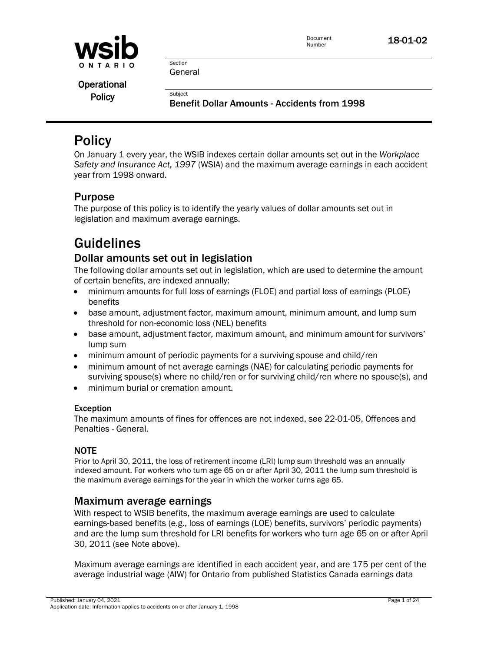

**Operational** 

Policy<br>Benefit Dollar Amounts - Accidents from 1998

## **Policy**

On January 1 every year, the WSIB indexes certain dollar amounts set out in the *Workplace Safety and Insurance Act, 1997* (WSIA) and the maximum average earnings in each accident year from 1998 onward.

## Purpose

The purpose of this policy is to identify the yearly values of dollar amounts set out in legislation and maximum average earnings.

## Guidelines

### Dollar amounts set out in legislation

The following dollar amounts set out in legislation, which are used to determine the amount of certain benefits, are indexed annually:

- minimum amounts for full loss of earnings (FLOE) and partial loss of earnings (PLOE) benefits
- base amount, adjustment factor, maximum amount, minimum amount, and lump sum threshold for non-economic loss (NEL) benefits
- base amount, adjustment factor, maximum amount, and minimum amount for survivors' lump sum
- minimum amount of periodic payments for a surviving spouse and child/ren
- minimum amount of net average earnings (NAE) for calculating periodic payments for surviving spouse(s) where no child/ren or for surviving child/ren where no spouse(s), and
- minimum burial or cremation amount.

### Exception

The maximum amounts of fines for offences are not indexed, see 22-01-05, Offences and Penalties - General.

### NOTE

Prior to April 30, 2011, the loss of retirement income (LRI) lump sum threshold was an annually indexed amount. For workers who turn age 65 on or after April 30, 2011 the lump sum threshold is the maximum average earnings for the year in which the worker turns age 65.

### Maximum average earnings

With respect to WSIB benefits, the maximum average earnings are used to calculate earnings-based benefits (e.g., loss of earnings (LOE) benefits, survivors' periodic payments) and are the lump sum threshold for LRI benefits for workers who turn age 65 on or after April 30, 2011 (see Note above).

Maximum average earnings are identified in each accident year, and are 175 per cent of the average industrial wage (AIW) for Ontario from published Statistics Canada earnings data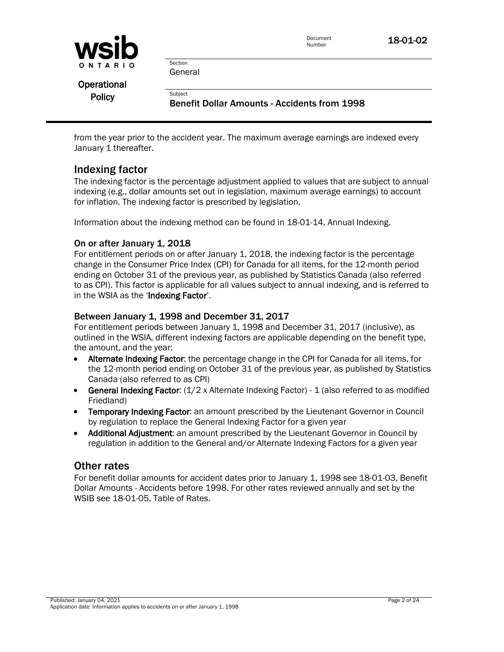

**Section** General

Operational

Policy<br>Benefit Dollar Amounts - Accidents from 1998

from the year prior to the accident year. The maximum average earnings are indexed every January 1 thereafter.

### Indexing factor

The indexing factor is the percentage adjustment applied to values that are subject to annual indexing (e.g., dollar amounts set out in legislation, maximum average earnings) to account for inflation. The indexing factor is prescribed by legislation.

Information about the indexing method can be found in 18-01-14, Annual Indexing.

### On or after January 1, 2018

For entitlement periods on or after January 1, 2018, the indexing factor is the percentage change in the Consumer Price Index (CPI) for Canada for all items, for the 12-month period ending on October 31 of the previous year, as published by Statistics Canada (also referred to as CPI). This factor is applicable for all values subject to annual indexing, and is referred to in the WSIA as the 'Indexing Factor'.

### Between January 1, 1998 and December 31, 2017

For entitlement periods between January 1, 1998 and December 31, 2017 (inclusive), as outlined in the WSIA, different indexing factors are applicable depending on the benefit type, the amount, and the year:

- Alternate Indexing Factor: the percentage change in the CPI for Canada for all items, for the 12-month period ending on October 31 of the previous year, as published by Statistics Canada (also referred to as CPI)
- **General Indexing Factor:**  $(1/2 \times$  Alternate Indexing Factor) 1 (also referred to as modified Friedland)
- Temporary Indexing Factor: an amount prescribed by the Lieutenant Governor in Council by regulation to replace the General Indexing Factor for a given year
- Additional Adjustment: an amount prescribed by the Lieutenant Governor in Council by regulation in addition to the General and/or Alternate Indexing Factors for a given year

### Other rates

For benefit dollar amounts for accident dates prior to January 1, 1998 see 18-01-03, Benefit Dollar Amounts - Accidents before 1998. For other rates reviewed annually and set by the WSIB see 18-01-05, Table of Rates.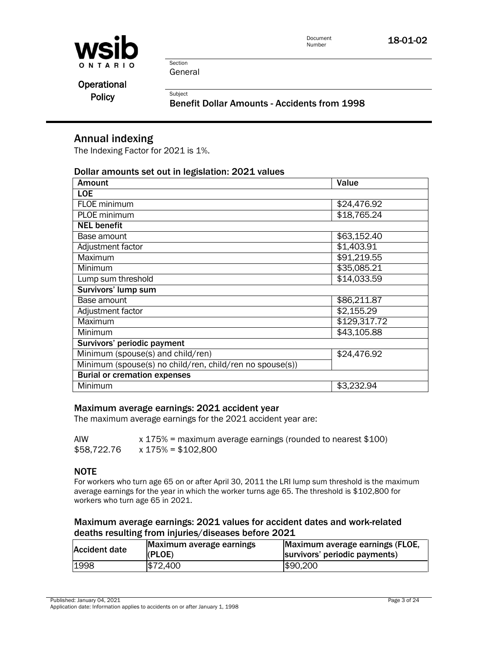

Section General

**Operational** 

Policy<br>Benefit Dollar Amounts - Accidents from 1998

### Annual indexing

The Indexing Factor for 2021 is 1%.

### Dollar amounts set out in legislation: 2021 values

| <b>Amount</b>                                            | Value        |
|----------------------------------------------------------|--------------|
| <b>LOE</b>                                               |              |
| FLOE minimum                                             | \$24,476.92  |
| PLOE minimum                                             | \$18,765.24  |
| <b>NEL benefit</b>                                       |              |
| Base amount                                              | \$63,152.40  |
| Adjustment factor                                        | \$1,403.91   |
| <b>Maximum</b>                                           | \$91,219.55  |
| Minimum                                                  | \$35,085.21  |
| Lump sum threshold                                       | \$14,033.59  |
| Survivors' lump sum                                      |              |
| Base amount                                              | \$86,211.87  |
| Adjustment factor                                        | \$2,155.29   |
| Maximum                                                  | \$129,317.72 |
| Minimum                                                  | \$43,105.88  |
| Survivors' periodic payment                              |              |
| Minimum (spouse(s) and child/ren)                        | \$24,476.92  |
| Minimum (spouse(s) no child/ren, child/ren no spouse(s)) |              |
| <b>Burial or cremation expenses</b>                      |              |
| Minimum                                                  | \$3,232.94   |

### Maximum average earnings: 2021 accident year

The maximum average earnings for the 2021 accident year are:

| AIW         | $x$ 175% = maximum average earnings (rounded to nearest \$100) |
|-------------|----------------------------------------------------------------|
| \$58,722.76 | x 175% = \$102,800                                             |

### NOTE

For workers who turn age 65 on or after April 30, 2011 the LRI lump sum threshold is the maximum average earnings for the year in which the worker turns age 65. The threshold is \$102,800 for workers who turn age 65 in 2021.

### Maximum average earnings: 2021 values for accident dates and work-related deaths resulting from injuries/diseases before 2021

| Accident date | Maximum average earnings<br>(PLOE) | Maximum average earnings (FLOE,<br>survivors' periodic payments) |
|---------------|------------------------------------|------------------------------------------------------------------|
| 1998          | \$72,400                           | \$90,200                                                         |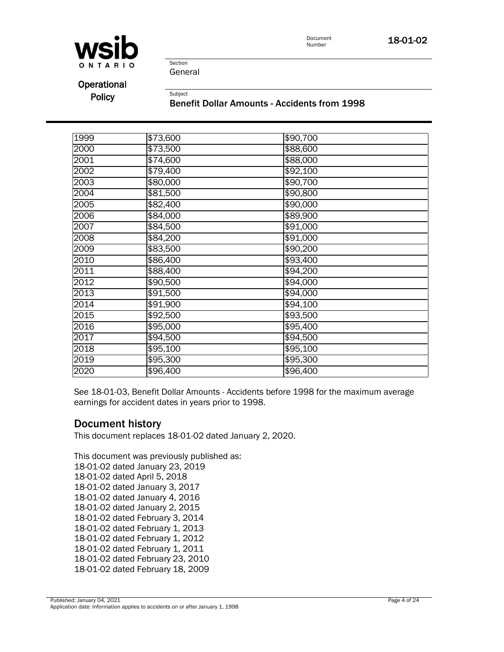



Section General

Operational

Policy<br>Benefit Dollar Amounts - Accidents from 1998

| 1999 | \$73,600 | \$90,700         |
|------|----------|------------------|
| 2000 | \$73,500 | \$88,600         |
| 2001 | \$74,600 | \$88,000         |
| 2002 | \$79,400 | \$92,100         |
| 2003 | \$80,000 | \$90,700         |
| 2004 | \$81,500 | \$90,800         |
| 2005 | \$82,400 | \$90,000         |
| 2006 | \$84,000 | \$89,900         |
| 2007 | \$84,500 | $\sqrt{$91,000}$ |
| 2008 | \$84,200 | \$91,000         |
| 2009 | \$83,500 | \$90,200         |
| 2010 | \$86,400 | \$93,400         |
| 2011 | \$88,400 | \$94,200         |
| 2012 | \$90,500 | \$94,000         |
| 2013 | \$91,500 | \$94,000         |
| 2014 | \$91,900 | \$94,100         |
| 2015 | \$92,500 | \$93,500         |
| 2016 | \$95,000 | \$95,400         |
| 2017 | \$94,500 | \$94,500         |
| 2018 | \$95,100 | \$95,100         |
| 2019 | \$95,300 | \$95,300         |
| 2020 | \$96,400 | \$96,400         |

See 18-01-03, Benefit Dollar Amounts - Accidents before 1998 for the maximum average earnings for accident dates in years prior to 1998.

### Document history

This document replaces 18-01-02 dated January 2, 2020.

This document was previously published as: 18-01-02 dated January 23, 2019 18-01-02 dated April 5, 2018 18-01-02 dated January 3, 2017 18-01-02 dated January 4, 2016 18-01-02 dated January 2, 2015 18-01-02 dated February 3, 2014 18-01-02 dated February 1, 2013 18-01-02 dated February 1, 2012 18-01-02 dated February 1, 2011 18-01-02 dated February 23, 2010 18-01-02 dated February 18, 2009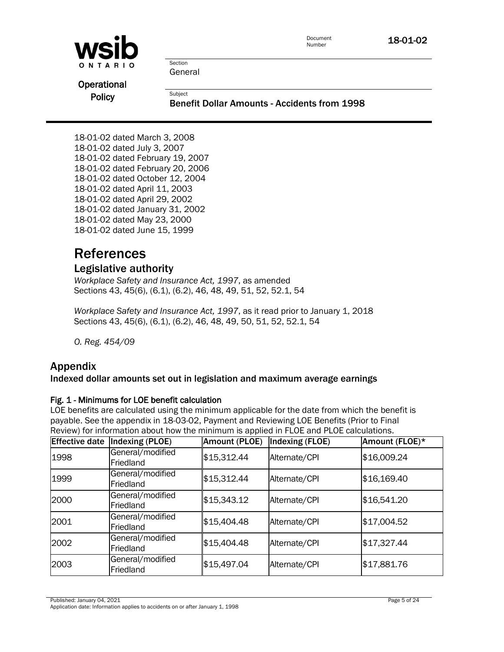| WSID        | Document<br>Number                                  | 18-01-02 |
|-------------|-----------------------------------------------------|----------|
| ONTARIO     | Section                                             |          |
|             | General                                             |          |
| Operational |                                                     |          |
| Policy      | Subject                                             |          |
|             | <b>Benefit Dollar Amounts - Accidents from 1998</b> |          |

18-01-02 dated March 3, 2008 18-01-02 dated July 3, 2007 18-01-02 dated February 19, 2007 18-01-02 dated February 20, 2006 18-01-02 dated October 12, 2004 18-01-02 dated April 11, 2003 18-01-02 dated April 29, 2002 18-01-02 dated January 31, 2002 18-01-02 dated May 23, 2000 18-01-02 dated June 15, 1999

## **References**

### Legislative authority

*Workplace Safety and Insurance Act, 1997*, as amended Sections 43, 45(6), (6.1), (6.2), 46, 48, 49, 51, 52, 52.1, 54

*Workplace Safety and Insurance Act, 1997*, as it read prior to January 1, 2018 Sections 43, 45(6), (6.1), (6.2), 46, 48, 49, 50, 51, 52, 52.1, 54

*O. Reg. 454/09* 

### Appendix

### Indexed dollar amounts set out in legislation and maximum average earnings

### Fig. 1 - Minimums for LOE benefit calculation

LOE benefits are calculated using the minimum applicable for the date from which the benefit is payable. See the appendix in 18-03-02, Payment and Reviewing LOE Benefits (Prior to Final Review) for information about how the minimum is applied in FLOE and PLOE calculations.

| <b>Effective date</b> | Indexing (PLOE)               | Amount (PLOE) | Indexing (FLOE) | Amount (FLOE)* |
|-----------------------|-------------------------------|---------------|-----------------|----------------|
| 1998                  | General/modified<br>Friedland | \$15,312.44   | Alternate/CPI   | \$16,009.24    |
| 1999                  | General/modified<br>Friedland | \$15,312.44   | Alternate/CPI   | \$16,169.40    |
| 2000                  | General/modified<br>Friedland | \$15,343.12   | Alternate/CPI   | \$16,541.20    |
| 2001                  | General/modified<br>Friedland | \$15,404.48   | Alternate/CPI   | \$17,004.52    |
| 2002                  | General/modified<br>Friedland | \$15,404.48   | Alternate/CPI   | \$17,327.44    |
| 2003                  | General/modified<br>Friedland | \$15,497.04   | Alternate/CPI   | \$17,881.76    |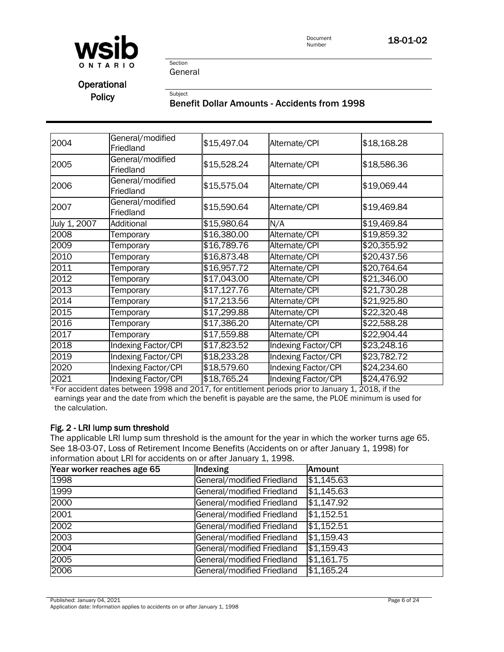

# **Operational**

# Policy<br>Benefit Dollar Amounts - Accidents from 1998

| 2004         | General/modified<br>Friedland | \$15,497.04 | Alternate/CPI       | \$18,168.28 |
|--------------|-------------------------------|-------------|---------------------|-------------|
| 2005         | General/modified<br>Friedland | \$15,528.24 | Alternate/CPI       | \$18,586.36 |
| 2006         | General/modified<br>Friedland | \$15,575.04 | Alternate/CPI       | \$19,069.44 |
| 2007         | General/modified<br>Friedland | \$15,590.64 | Alternate/CPI       | \$19,469.84 |
| July 1, 2007 | Additional                    | \$15,980.64 | N/A                 | \$19,469.84 |
| 2008         | Temporary                     | \$16,380.00 | Alternate/CPI       | \$19,859.32 |
| 2009         | Temporary                     | \$16,789.76 | Alternate/CPI       | \$20,355.92 |
| 2010         | Temporary                     | \$16,873.48 | Alternate/CPI       | \$20,437.56 |
| 2011         | Temporary                     | \$16,957.72 | Alternate/CPI       | \$20,764.64 |
| 2012         | Temporary                     | \$17,043.00 | Alternate/CPI       | \$21,346.00 |
| 2013         | Temporary                     | \$17,127.76 | Alternate/CPI       | \$21,730.28 |
| 2014         | Temporary                     | \$17,213.56 | Alternate/CPI       | \$21,925.80 |
| 2015         | Temporary                     | \$17,299.88 | Alternate/CPI       | \$22,320.48 |
| 2016         | Temporary                     | \$17,386.20 | Alternate/CPI       | \$22,588.28 |
| 2017         | Temporary                     | \$17,559.88 | Alternate/CPI       | \$22,904.44 |
| 2018         | <b>Indexing Factor/CPI</b>    | \$17,823.52 | Indexing Factor/CPI | \$23,248.16 |
| 2019         | Indexing Factor/CPI           | \$18,233.28 | Indexing Factor/CPI | \$23,782.72 |
| 2020         | Indexing Factor/CPI           | \$18,579.60 | Indexing Factor/CPI | \$24,234.60 |
| 2021         | Indexing Factor/CPI           | \$18,765.24 | Indexing Factor/CPI | \$24,476.92 |
|              |                               |             |                     |             |

\*For accident dates between 1998 and 2017, for entitlement periods prior to January 1, 2018, if the earnings year and the date from which the benefit is payable are the same, the PLOE minimum is used for the calculation.

### Fig. 2 - LRI lump sum threshold

The applicable LRI lump sum threshold is the amount for the year in which the worker turns age 65. See 18-03-07, Loss of Retirement Income Benefits (Accidents on or after January 1, 1998) for information about LRI for accidents on or after January 1, 1998.

| Year worker reaches age 65 | Indexing                   | <b>Amount</b> |
|----------------------------|----------------------------|---------------|
| 1998                       | General/modified Friedland | \$1,145.63    |
| 1999                       | General/modified Friedland | \$1,145.63    |
| 2000                       | General/modified Friedland | \$1,147.92    |
| 2001                       | General/modified Friedland | \$1,152.51    |
| 2002                       | General/modified Friedland | \$1,152.51    |
| 2003                       | General/modified Friedland | \$1,159.43    |
| 2004                       | General/modified Friedland | \$1,159.43    |
| 2005                       | General/modified Friedland | \$1,161.75    |
| 2006                       | General/modified Friedland | \$1,165.24    |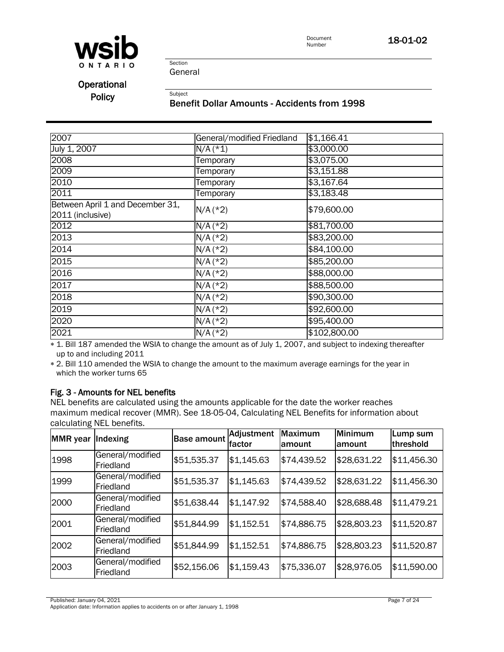

Section General

**Operational** 

# Policy<br>Benefit Dollar Amounts - Accidents from 1998

| 2007                                                 | General/modified Friedland | \$1,166.41   |
|------------------------------------------------------|----------------------------|--------------|
| July 1, 2007                                         | $N/A$ (*1)                 | \$3,000.00   |
| 2008                                                 | Temporary                  | \$3,075.00   |
| 2009                                                 | Temporary                  | \$3,151.88   |
| 2010                                                 | Temporary                  | \$3,167.64   |
| 2011                                                 | Temporary                  | \$3,183.48   |
| Between April 1 and December 31,<br>2011 (inclusive) | $N/A$ (*2)                 | \$79,600.00  |
| 2012                                                 | $N/A$ (*2)                 | \$81,700.00  |
| 2013                                                 | $N/A$ (*2)                 | \$83,200.00  |
| 2014                                                 | $N/A$ (*2)                 | \$84,100.00  |
| 2015                                                 | $N/A$ (*2)                 | \$85,200.00  |
| 2016                                                 | $N/A$ (*2)                 | \$88,000.00  |
| 2017                                                 | $N/A$ (*2)                 | \$88,500.00  |
| 2018                                                 | $N/A$ (*2)                 | \$90,300.00  |
| 2019                                                 | $N/A$ (*2)                 | \$92,600.00  |
| 2020                                                 | $N/A$ (*2)                 | \$95,400.00  |
| 2021                                                 | $N/A$ (*2)                 | \$102,800.00 |

 1. Bill 187 amended the WSIA to change the amount as of July 1, 2007, and subject to indexing thereafter \* 1. Bill 187 amended the WSIA to change the amount as of July 1, 2007, and subject to indexing thereafter up to and including 2011

up to and including 2011<br>\* 2. Bill 110 amended the WSIA to change the amount to the maximum average earnings for the year in which the worker turns 65 average earnings for the year in which the worker turns 65

### Fig. 3 - Amounts for NEL benefits

NEL benefits are calculated using the amounts applicable for the date the worker reaches maximum medical recover (MMR). See 18-05-04, Calculating NEL Benefits for information about calculating NEL benefits.

| <b>MMR</b> year | Indexing                      | <b>Base amount</b> | Adjustment<br><b>Ifactor</b> | <b>Maximum</b><br>lamount | <b>Minimum</b><br>lamount | Lump sum<br>threshold |
|-----------------|-------------------------------|--------------------|------------------------------|---------------------------|---------------------------|-----------------------|
| 1998            | General/modified<br>Friedland | \$51,535.37        | \$1,145.63                   | \$74,439.52               | \$28,631.22               | \$11,456.30           |
| 1999            | General/modified<br>Friedland | \$51,535.37        | \$1,145.63                   | \$74,439.52               | \$28,631.22               | \$11,456.30           |
| 2000            | General/modified<br>Friedland | \$51,638.44        | \$1,147.92                   | \$74,588.40               | \$28,688.48               | \$11,479.21           |
| 2001            | General/modified<br>Friedland | \$51,844.99        | \$1,152.51                   | \$74,886.75               | \$28,803.23               | \$11,520.87           |
| 2002            | General/modified<br>Friedland | \$51,844.99        | \$1,152.51                   | \$74,886.75               | \$28,803.23               | \$11,520.87           |
| 2003            | General/modified<br>Friedland | \$52,156.06        | \$1,159.43                   | \$75,336.07               | \$28,976.05               | \$11,590.00           |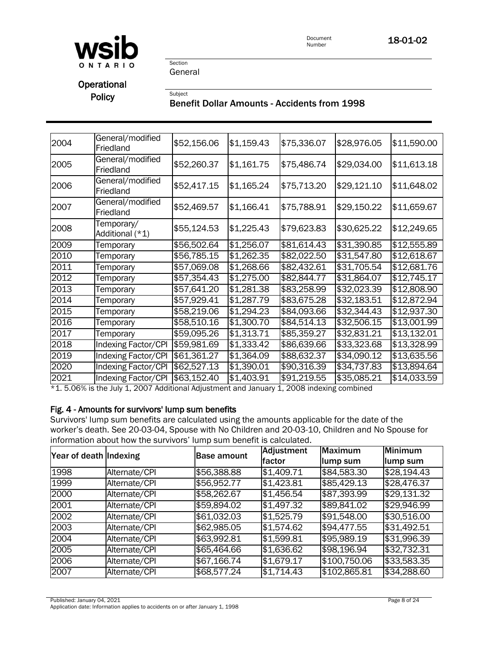

Section General

# **Operational**

Policy<br>Benefit Dollar Amounts - Accidents from 1998

| 2004 | General/modified<br>Friedland | \$52,156.06             | \$1,159.43 | \$75,336.07         | \$28,976.05 | \$11,590.00       |
|------|-------------------------------|-------------------------|------------|---------------------|-------------|-------------------|
| 2005 | General/modified<br>Friedland | \$52,260.37             | \$1,161.75 | \$75,486.74         | \$29,034.00 | \$11,613.18       |
| 2006 | General/modified<br>Friedland | \$52,417.15             | \$1,165.24 | \$75,713.20         | \$29,121.10 | \$11,648.02       |
| 2007 | General/modified<br>Friedland | \$52,469.57             | \$1,166.41 | \$75,788.91         | \$29,150.22 | \$11,659.67       |
| 2008 | Temporary/<br>Additional (*1) | \$55,124.53             | \$1,225.43 | \$79,623.83         | \$30,625.22 | \$12,249.65       |
| 2009 | Temporary                     | \$56,502.64             | \$1,256.07 | \$81,614.43         | \$31,390.85 | \$12,555.89       |
| 2010 | Temporary                     | \$56,785.15             | \$1,262.35 | \$82,022.50         | \$31,547.80 | \$12,618.67       |
| 2011 | Temporary                     | \$57,069.08             | \$1,268.66 | $\sqrt{$82,432.61}$ | \$31,705.54 | \$12,681.76       |
| 2012 | Temporary                     | \$57,354.43             | \$1,275.00 | \$82,844.77         | \$31,864.07 | \$12,745.17       |
| 2013 | Temporary                     | \$57,641.20             | \$1,281.38 | \$83,258.99         | \$32,023.39 | \$12,808.90       |
| 2014 | Temporary                     | \$57,929.41             | \$1,287.79 | \$83,675.28         | \$32,183.51 | \$12,872.94       |
| 2015 | Temporary                     | \$58,219.06             | \$1,294.23 | \$84,093.66         | \$32,344.43 | \$12,937.30       |
| 2016 | Temporary                     | \$58,510.16             | \$1,300.70 | \$84,514.13         | \$32,506.15 | \$13,001.99       |
| 2017 | Temporary                     | $\overline{$}59,095.26$ | \$1,313.71 | \$85,359.27         | \$32,831.21 | \$13,132.01       |
| 2018 | <b>Indexing Factor/CPI</b>    | \$59,981.69             | \$1,333.42 | \$86,639.66         | \$33,323.68 | \$13,328.99       |
| 2019 | <b>Indexing Factor/CPI</b>    | \$61,361.27             | \$1,364.09 | \$88,632.37         | \$34,090.12 | \$13,635.56       |
| 2020 | <b>Indexing Factor/CPI</b>    | \$62,527.13             | \$1,390.01 | \$90,316.39         | \$34,737.83 | \$13,894.64       |
| 2021 | Indexing Factor/CPI           | \$63,152.40             | \$1,403.91 | \$91,219.55         | \$35,085.21 | $\sqrt{4.033.59}$ |

\*1. 5.06% is the July 1, 2007 Additional Adjustment and January 1, 2008 indexing combined

### Fig. 4 - Amounts for survivors' lump sum benefits

Survivors' lump sum benefits are calculated using the amounts applicable for the date of the worker's death. See 20-03-04, Spouse with No Children and 20-03-10, Children and No Spouse for information about how the survivors' lump sum benefit is calculated.

| Year of death Indexing |               | <b>Base amount</b> | Adjustment<br>factor | <b>Maximum</b><br>lump sum | <b>Minimum</b><br>lump sum |
|------------------------|---------------|--------------------|----------------------|----------------------------|----------------------------|
| 1998                   | Alternate/CPI | \$56,388.88        | \$1,409.71           | \$84,583.30                | \$28,194.43                |
| 1999                   | Alternate/CPI | \$56,952.77        | \$1,423.81           | \$85,429.13                | \$28,476.37                |
| 2000                   | Alternate/CPI | \$58,262.67        | \$1,456.54           | \$87,393.99                | \$29,131.32                |
| 2001                   | Alternate/CPI | \$59,894.02        | \$1,497.32           | \$89,841.02                | \$29,946.99                |
| 2002                   | Alternate/CPI | \$61,032.03        | \$1,525.79           | \$91,548.00                | \$30,516.00                |
| 2003                   | Alternate/CPI | \$62,985.05        | \$1,574.62           | \$94,477.55                | \$31,492.51                |
| 2004                   | Alternate/CPI | \$63,992.81        | \$1,599.81           | \$95,989.19                | \$31,996.39                |
| 2005                   | Alternate/CPI | \$65,464.66        | \$1,636.62           | \$98,196.94                | \$32,732.31                |
| 2006                   | Alternate/CPI | \$67,166.74        | \$1,679.17           | \$100,750.06               | \$33,583.35                |
| 2007                   | Alternate/CPI | \$68,577.24        | \$1,714.43           | \$102,865.81               | \$34,288.60                |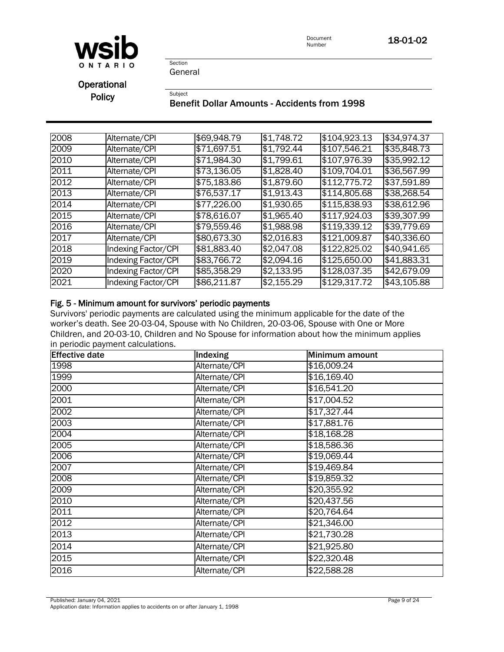

Section General

**Operational** 

Policy<br>Benefit Dollar Amounts - Accidents from 1998

| 2008 | Alternate/CPI              | \$69,948.79 | \$1,748.72 | \$104,923.13 | \$34,974.37 |
|------|----------------------------|-------------|------------|--------------|-------------|
| 2009 | Alternate/CPI              | \$71,697.51 | \$1,792.44 | \$107,546.21 | \$35,848.73 |
| 2010 | Alternate/CPI              | \$71,984.30 | \$1,799.61 | \$107,976.39 | \$35,992.12 |
| 2011 | Alternate/CPI              | \$73,136.05 | \$1,828.40 | \$109,704.01 | \$36,567.99 |
| 2012 | Alternate/CPI              | \$75,183.86 | \$1,879.60 | \$112,775.72 | \$37,591.89 |
| 2013 | Alternate/CPI              | \$76,537.17 | \$1,913.43 | \$114,805.68 | \$38,268.54 |
| 2014 | Alternate/CPI              | \$77,226.00 | \$1,930.65 | \$115,838.93 | \$38,612.96 |
| 2015 | Alternate/CPI              | \$78,616.07 | \$1,965.40 | \$117,924.03 | \$39,307.99 |
| 2016 | Alternate/CPI              | \$79,559.46 | \$1,988.98 | \$119,339.12 | \$39,779.69 |
| 2017 | Alternate/CPI              | \$80,673.30 | \$2,016.83 | \$121,009.87 | \$40,336.60 |
| 2018 | Indexing Factor/CPI        | \$81,883.40 | \$2,047.08 | \$122,825.02 | \$40,941.65 |
| 2019 | Indexing Factor/CPI        | \$83,766.72 | \$2,094.16 | \$125,650.00 | \$41,883.31 |
| 2020 | <b>Indexing Factor/CPI</b> | \$85,358.29 | \$2,133.95 | \$128,037.35 | \$42,679.09 |
| 2021 | Indexing Factor/CPI        | \$86,211.87 | \$2,155.29 | \$129,317.72 | \$43,105.88 |

### Fig. 5 - Minimum amount for survivors' periodic payments

Survivors' periodic payments are calculated using the minimum applicable for the date of the worker's death. See 20-03-04, Spouse with No Children, 20-03-06, Spouse with One or More Children, and 20-03-10, Children and No Spouse for information about how the minimum applies in periodic payment calculations.

| <b>Effective date</b> | Indexing      | Minimum amount |
|-----------------------|---------------|----------------|
| 1998                  | Alternate/CPI | \$16,009.24    |
| 1999                  | Alternate/CPI | \$16,169.40    |
| 2000                  | Alternate/CPI | \$16,541.20    |
| 2001                  | Alternate/CPI | \$17,004.52    |
| 2002                  | Alternate/CPI | \$17,327.44    |
| 2003                  | Alternate/CPI | \$17,881.76    |
| 2004                  | Alternate/CPI | \$18,168.28    |
| 2005                  | Alternate/CPI | \$18,586.36    |
| 2006                  | Alternate/CPI | \$19,069.44    |
| 2007                  | Alternate/CPI | \$19,469.84    |
| 2008                  | Alternate/CPI | \$19,859.32    |
| 2009                  | Alternate/CPI | \$20,355.92    |
| 2010                  | Alternate/CPI | \$20,437.56    |
| 2011                  | Alternate/CPI | \$20,764.64    |
| 2012                  | Alternate/CPI | \$21,346.00    |
| 2013                  | Alternate/CPI | \$21,730.28    |
| 2014                  | Alternate/CPI | \$21,925.80    |
| 2015                  | Alternate/CPI | \$22,320.48    |
| 2016                  | Alternate/CPI | \$22,588.28    |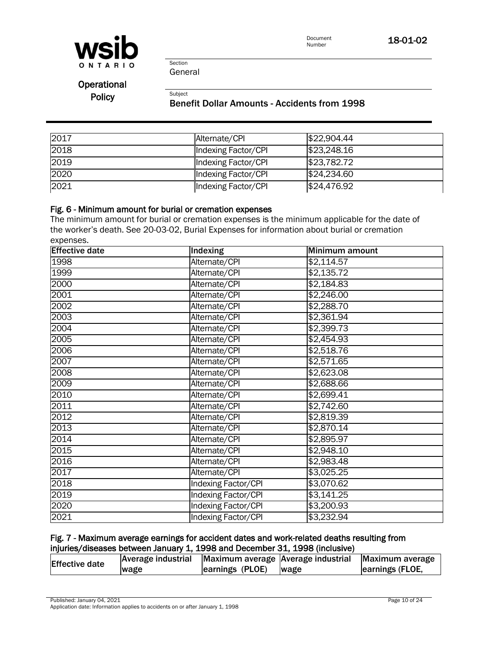

Section General

**Operational** 

# Policy<br>Benefit Dollar Amounts - Accidents from 1998

| 2017 | Alternate/CPI       | \$22,904.44 |
|------|---------------------|-------------|
| 2018 | Indexing Factor/CPI | \$23,248.16 |
| 2019 | Indexing Factor/CPI | \$23,782.72 |
| 2020 | Indexing Factor/CPI | \$24,234.60 |
| 2021 | Indexing Factor/CPI | \$24,476.92 |

### Fig. 6 - Minimum amount for burial or cremation expenses

The minimum amount for burial or cremation expenses is the minimum applicable for the date of the worker's death. See 20-03-02, Burial Expenses for information about burial or cremation expenses.

| <b>Effective date</b> | Indexing                   | Minimum amount |
|-----------------------|----------------------------|----------------|
| 1998                  | Alternate/CPI              | \$2,114.57     |
| 1999                  | Alternate/CPI              | \$2,135.72     |
| 2000                  | Alternate/CPI              | \$2,184.83     |
| 2001                  | Alternate/CPI              | \$2,246.00     |
| 2002                  | Alternate/CPI              | \$2,288.70     |
| 2003                  | Alternate/CPI              | \$2,361.94     |
| 2004                  | Alternate/CPI              | \$2,399.73     |
| 2005                  | Alternate/CPI              | \$2,454.93     |
| 2006                  | Alternate/CPI              | \$2,518.76     |
| 2007                  | Alternate/CPI              | \$2,571.65     |
| 2008                  | Alternate/CPI              | \$2,623.08     |
| 2009                  | Alternate/CPI              | \$2,688.66     |
| 2010                  | Alternate/CPI              | \$2,699.41     |
| 2011                  | Alternate/CPI              | \$2,742.60     |
| 2012                  | Alternate/CPI              | \$2,819.39     |
| 2013                  | Alternate/CPI              | \$2,870.14     |
| 2014                  | Alternate/CPI              | \$2,895.97     |
| 2015                  | Alternate/CPI              | \$2,948.10     |
| 2016                  | Alternate/CPI              | \$2,983.48     |
| 2017                  | Alternate/CPI              | \$3,025.25     |
| 2018                  | Indexing Factor/CPI        | \$3,070.62     |
| 2019                  | <b>Indexing Factor/CPI</b> | \$3,141.25     |
| 2020                  | <b>Indexing Factor/CPI</b> | \$3,200.93     |
| 2021                  | Indexing Factor/CPI        | \$3,232.94     |

### Fig. 7 - Maximum average earnings for accident dates and work-related deaths resulting from injuries/diseases between January 1, 1998 and December 31, 1998 (inclusive)

| <b>Effective date</b> |      |                      | Average industrial Maximum average Average industrial Maximum average |                 |
|-----------------------|------|----------------------|-----------------------------------------------------------------------|-----------------|
|                       | wage | earnings (PLOE) wage |                                                                       | earnings (FLOE, |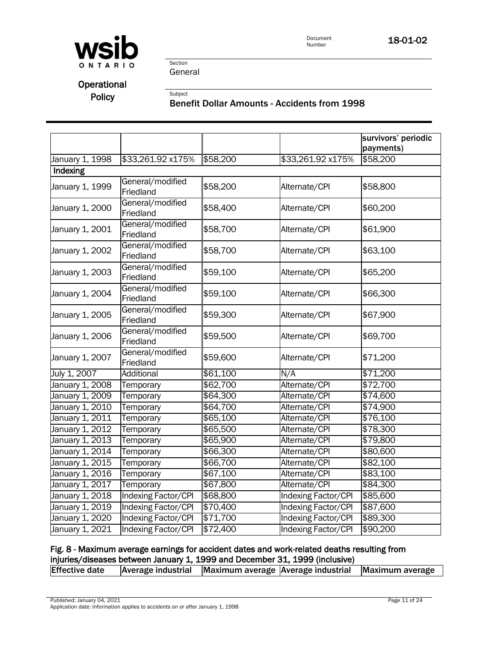

Section General

# **Operational**

# Policy<br>Benefit Dollar Amounts - Accidents from 1998

|                 |                               |          |                            | survivors' periodic<br>payments) |
|-----------------|-------------------------------|----------|----------------------------|----------------------------------|
| January 1, 1998 | \$33,261.92 x175%             | \$58,200 | \$33,261.92 x175%          | \$58,200                         |
| Indexing        |                               |          |                            |                                  |
| January 1, 1999 | General/modified<br>Friedland | \$58,200 | Alternate/CPI              | \$58,800                         |
| January 1, 2000 | General/modified<br>Friedland | \$58,400 | Alternate/CPI              | \$60,200                         |
| January 1, 2001 | General/modified<br>Friedland | \$58,700 | Alternate/CPI              | \$61,900                         |
| January 1, 2002 | General/modified<br>Friedland | \$58,700 | Alternate/CPI              | \$63,100                         |
| January 1, 2003 | General/modified<br>Friedland | \$59,100 | Alternate/CPI              | \$65,200                         |
| January 1, 2004 | General/modified<br>Friedland | \$59,100 | Alternate/CPI              | \$66,300                         |
| January 1, 2005 | General/modified<br>Friedland | \$59,300 | Alternate/CPI              | \$67,900                         |
| January 1, 2006 | General/modified<br>Friedland | \$59,500 | Alternate/CPI              | \$69,700                         |
| January 1, 2007 | General/modified<br>Friedland | \$59,600 | Alternate/CPI              | \$71,200                         |
| July 1, 2007    | Additional                    | \$61,100 | N/A                        | \$71,200                         |
| January 1, 2008 | Temporary                     | \$62,700 | Alternate/CPI              | \$72,700                         |
| January 1, 2009 | Temporary                     | \$64,300 | Alternate/CPI              | \$74,600                         |
| January 1, 2010 | Temporary                     | \$64,700 | Alternate/CPI              | \$74,900                         |
| January 1, 2011 | Temporary                     | \$65,100 | Alternate/CPI              | \$76,100                         |
| January 1, 2012 | Temporary                     | \$65,500 | Alternate/CPI              | \$78,300                         |
| January 1, 2013 | Temporary                     | \$65,900 | Alternate/CPI              | \$79,800                         |
| January 1, 2014 | Temporary                     | \$66,300 | Alternate/CPI              | \$80,600                         |
| January 1, 2015 | Temporary                     | \$66,700 | Alternate/CPI              | \$82,100                         |
| January 1, 2016 | Temporary                     | \$67,100 | Alternate/CPI              | \$83,100                         |
| January 1, 2017 | Temporary                     | \$67,800 | Alternate/CPI              | \$84,300                         |
| January 1, 2018 | <b>Indexing Factor/CPI</b>    | \$68,800 | <b>Indexing Factor/CPI</b> | \$85,600                         |
| January 1, 2019 | Indexing Factor/CPI           | \$70,400 | <b>Indexing Factor/CPI</b> | \$87,600                         |
| January 1, 2020 | Indexing Factor/CPI           | \$71,700 | <b>Indexing Factor/CPI</b> | \$89,300                         |
| January 1, 2021 | Indexing Factor/CPI           | \$72,400 | Indexing Factor/CPI        | \$90,200                         |

### Fig. 8 - Maximum average earnings for accident dates and work-related deaths resulting from injuries/diseases between January 1, 1999 and December 31, 1999 (inclusive)

| <b>Effective date</b><br><b>Average industrial</b><br>Maximum average Average industrial Maximum average |  |
|----------------------------------------------------------------------------------------------------------|--|
|----------------------------------------------------------------------------------------------------------|--|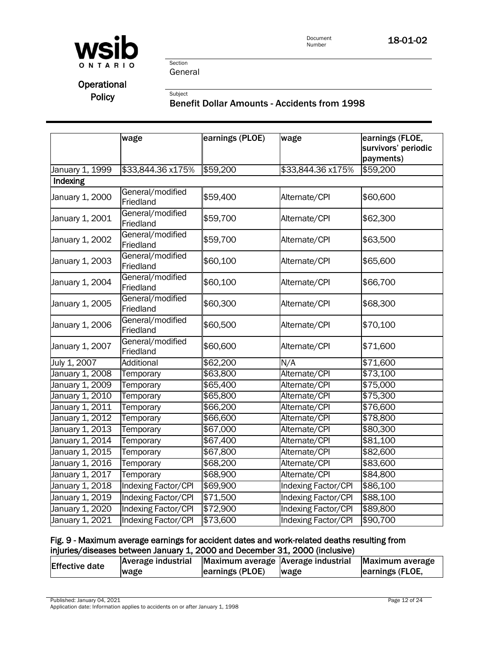

## **Operational**

# Policy<br>Benefit Dollar Amounts - Accidents from 1998

|                               | wage                          | earnings (PLOE) | wage                       | earnings (FLOE,<br>survivors' periodic<br>payments) |
|-------------------------------|-------------------------------|-----------------|----------------------------|-----------------------------------------------------|
| January 1, 1999               | \$33,844.36 x175%             | \$59,200        | \$33,844.36 x175%          | \$59,200                                            |
| Indexing                      |                               |                 |                            |                                                     |
| January 1, 2000               | General/modified<br>Friedland | \$59,400        | Alternate/CPI              | \$60,600                                            |
| January 1, 2001               | General/modified<br>Friedland | \$59,700        | Alternate/CPI              | \$62,300                                            |
| January 1, 2002               | General/modified<br>Friedland | \$59,700        | Alternate/CPI              | \$63,500                                            |
| January 1, 2003               | General/modified<br>Friedland | \$60,100        | Alternate/CPI              | \$65,600                                            |
| January 1, 2004               | General/modified<br>Friedland | \$60,100        | Alternate/CPI              | \$66,700                                            |
| January 1, 2005               | General/modified<br>Friedland | \$60,300        | Alternate/CPI              | \$68,300                                            |
| January 1, 2006               | General/modified<br>Friedland | \$60,500        | Alternate/CPI              | \$70,100                                            |
| January 1, 2007               | General/modified<br>Friedland | \$60,600        | Alternate/CPI              | \$71,600                                            |
| July 1, 2007                  | Additional                    | \$62,200        | N/A                        | \$71,600                                            |
| January 1, 2008               | Temporary                     | \$63,800        | Alternate/CPI              | \$73,100                                            |
| January 1, 2009               | Temporary                     | \$65,400        | Alternate/CPI              | \$75,000                                            |
| January 1, 20 $\overline{10}$ | Temporary                     | \$65,800        | Alternate/CPI              | \$75,300                                            |
| January 1, 2011               | Temporary                     | \$66,200        | Alternate/CPI              | \$76,600                                            |
| January 1, 2012               | Temporary                     | \$66,600        | Alternate/CPI              | \$78,800                                            |
| January 1, 2013               | Temporary                     | \$67,000        | Alternate/CPI              | \$80,300                                            |
| January 1, 2014               | Temporary                     | \$67,400        | Alternate/CPI              | \$81,100                                            |
| January 1, 2015               | Temporary                     | \$67,800        | Alternate/CPI              | \$82,600                                            |
| January 1, 2016               | Temporary                     | \$68,200        | Alternate/CPI              | \$83,600                                            |
| January 1, 2017               | Temporary                     | \$68,900        | Alternate/CPI              | \$84,800                                            |
| January 1, 2018               | <b>Indexing Factor/CPI</b>    | \$69,900        | <b>Indexing Factor/CPI</b> | \$86,100                                            |
| January 1, 2019               | Indexing Factor/CPI           | \$71,500        | <b>Indexing Factor/CPI</b> | $\sqrt{$88,100}$                                    |
| January 1, 2020               | Indexing Factor/CPI           | \$72,900        | <b>Indexing Factor/CPI</b> | \$89,800                                            |
| January 1, 2021               | Indexing Factor/CPI           | \$73,600        | Indexing Factor/CPI        | \$90,700                                            |

### Fig. 9 - Maximum average earnings for accident dates and work-related deaths resulting from injuries/diseases between January 1, 2000 and December 31, 2000 (inclusive)

| <b>Effective date</b> | Average industrial Maximum average Average industrial Maximum average |                 |      |                 |
|-----------------------|-----------------------------------------------------------------------|-----------------|------|-----------------|
|                       | <b>wage</b>                                                           | earnings (PLOE) | wage | earnings (FLOE, |

Published: January 04, 2021 Page 12 of 24 Application date: Information applies to accidents on or after January 1, 1998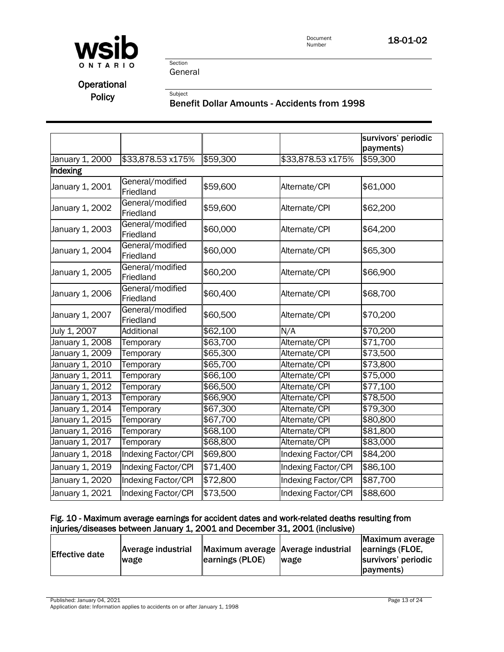

Section General

# **Operational**

# Policy<br>Benefit Dollar Amounts - Accidents from 1998

|                 |                               |          |                     | survivors' periodic<br>payments) |
|-----------------|-------------------------------|----------|---------------------|----------------------------------|
| January 1, 2000 | \$33,878.53 x175%             | \$59,300 | \$33,878.53 x175%   | \$59,300                         |
| Indexing        |                               |          |                     |                                  |
| January 1, 2001 | General/modified<br>Friedland | \$59,600 | Alternate/CPI       | \$61,000                         |
| January 1, 2002 | General/modified<br>Friedland | \$59,600 | Alternate/CPI       | \$62,200                         |
| January 1, 2003 | General/modified<br>Friedland | \$60,000 | Alternate/CPI       | \$64,200                         |
| January 1, 2004 | General/modified<br>Friedland | \$60,000 | Alternate/CPI       | \$65,300                         |
| January 1, 2005 | General/modified<br>Friedland | \$60,200 | Alternate/CPI       | \$66,900                         |
| January 1, 2006 | General/modified<br>Friedland | \$60,400 | Alternate/CPI       | \$68,700                         |
| January 1, 2007 | General/modified<br>Friedland | \$60,500 | Alternate/CPI       | \$70,200                         |
| July 1, 2007    | Additional                    | \$62,100 | N/A                 | \$70,200                         |
| January 1, 2008 | Temporary                     | \$63,700 | Alternate/CPI       | \$71,700                         |
| January 1, 2009 | Temporary                     | \$65,300 | Alternate/CPI       | \$73,500                         |
| January 1, 2010 | Temporary                     | \$65,700 | Alternate/CPI       | \$73,800                         |
| January 1, 2011 | Temporary                     | \$66,100 | Alternate/CPI       | \$75,000                         |
| January 1, 2012 | Temporary                     | \$66,500 | Alternate/CPI       | \$77,100                         |
| January 1, 2013 | Temporary                     | \$66,900 | Alternate/CPI       | \$78,500                         |
| January 1, 2014 | Temporary                     | \$67,300 | Alternate/CPI       | \$79,300                         |
| January 1, 2015 | Temporary                     | \$67,700 | Alternate/CPI       | \$80,800                         |
| January 1, 2016 | Temporary                     | \$68,100 | Alternate/CPI       | \$81,800                         |
| January 1, 2017 | Temporary                     | \$68,800 | Alternate/CPI       | \$83,000                         |
| January 1, 2018 | Indexing Factor/CPI           | \$69,800 | Indexing Factor/CPI | \$84,200                         |
| January 1, 2019 | Indexing Factor/CPI           | \$71,400 | Indexing Factor/CPI | \$86,100                         |
| January 1, 2020 | Indexing Factor/CPI           | \$72,800 | Indexing Factor/CPI | \$87,700                         |
| January 1, 2021 | Indexing Factor/CPI           | \$73,500 | Indexing Factor/CPI | \$88,600                         |

### Fig. 10 - Maximum average earnings for accident dates and work-related deaths resulting from injuries/diseases between January 1, 2001 and December 31, 2001 (inclusive)

| Average industrial                 | Maximum average     |
|------------------------------------|---------------------|
| Maximum average Average industrial | earnings (FLOE,     |
| <b>Effective date</b>              | survivors' periodic |
| earnings (PLOE)                    | <b>Iwage</b>        |
| <b>wage</b>                        | (payments)          |

Published: January 04, 2021 Page 13 of 24 Application date: Information applies to accidents on or after January 1, 1998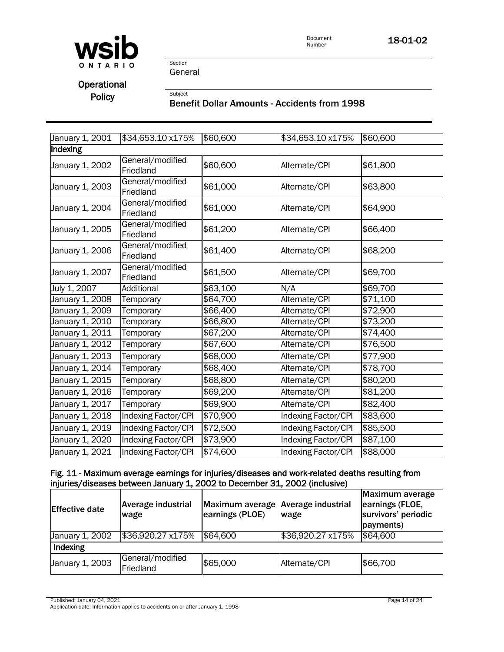

Section General

**Operational** 

# Policy<br>Benefit Dollar Amounts - Accidents from 1998

| January 1, 2001 | \$34,653.10 x175%             | \$60,600 | \$34,653.10 x175%          | \$60,600 |  |  |  |
|-----------------|-------------------------------|----------|----------------------------|----------|--|--|--|
| Indexing        |                               |          |                            |          |  |  |  |
| January 1, 2002 | General/modified<br>Friedland | \$60,600 | Alternate/CPI              | \$61,800 |  |  |  |
| January 1, 2003 | General/modified<br>Friedland | \$61,000 | Alternate/CPI              | \$63,800 |  |  |  |
| January 1, 2004 | General/modified<br>Friedland | \$61,000 | Alternate/CPI              | \$64,900 |  |  |  |
| January 1, 2005 | General/modified<br>Friedland | \$61,200 | Alternate/CPI              | \$66,400 |  |  |  |
| January 1, 2006 | General/modified<br>Friedland | \$61,400 | Alternate/CPI              | \$68,200 |  |  |  |
| January 1, 2007 | General/modified<br>Friedland | \$61,500 | Alternate/CPI              | \$69,700 |  |  |  |
| July 1, 2007    | <b>Additional</b>             | \$63,100 | N/A                        | \$69,700 |  |  |  |
| January 1, 2008 | Temporary                     | \$64,700 | Alternate/CPI              | \$71,100 |  |  |  |
| January 1, 2009 | Temporary                     | \$66,400 | Alternate/CPI              | \$72,900 |  |  |  |
| January 1, 2010 | Temporary                     | \$66,800 | Alternate/CPI              | \$73,200 |  |  |  |
| January 1, 2011 | Temporary                     | \$67,200 | Alternate/CPI              | \$74,400 |  |  |  |
| January 1, 2012 | Temporary                     | \$67,600 | Alternate/CPI              | \$76,500 |  |  |  |
| January 1, 2013 | Temporary                     | \$68,000 | Alternate/CPI              | \$77,900 |  |  |  |
| January 1, 2014 | Temporary                     | \$68,400 | Alternate/CPI              | \$78,700 |  |  |  |
| January 1, 2015 | Temporary                     | \$68,800 | Alternate/CPI              | \$80,200 |  |  |  |
| January 1, 2016 | Temporary                     | \$69,200 | Alternate/CPI              | \$81,200 |  |  |  |
| January 1, 2017 | Temporary                     | \$69,900 | Alternate/CPI              | \$82,400 |  |  |  |
| January 1, 2018 | Indexing Factor/CPI           | \$70,900 | Indexing Factor/CPI        | \$83,600 |  |  |  |
| January 1, 2019 | Indexing Factor/CPI           | \$72,500 | <b>Indexing Factor/CPI</b> | \$85,500 |  |  |  |
| January 1, 2020 | Indexing Factor/CPI           | \$73,900 | <b>Indexing Factor/CPI</b> | \$87,100 |  |  |  |
| January 1, 2021 | <b>Indexing Factor/CPI</b>    | \$74,600 | <b>Indexing Factor/CPI</b> | \$88,000 |  |  |  |

#### Fig. 11 - Maximum average earnings for injuries/diseases and work-related deaths resulting from injuries/diseases between January 1, 2002 to December 31, 2002 (inclusive)

| <b>Effective date</b> | Average industrial<br>wage    | Maximum average Average industrial<br>earnings (PLOE) | wage              | Maximum average<br>earnings (FLOE,<br>survivors' periodic<br>payments) |  |  |
|-----------------------|-------------------------------|-------------------------------------------------------|-------------------|------------------------------------------------------------------------|--|--|
| January 1, 2002       | \$36,920.27 x175%             | \$64,600                                              | \$36,920.27 x175% | \$64,600                                                               |  |  |
| Indexing              |                               |                                                       |                   |                                                                        |  |  |
| January 1, 2003       | General/modified<br>Friedland | \$65,000                                              | Alternate/CPI     | \$66,700                                                               |  |  |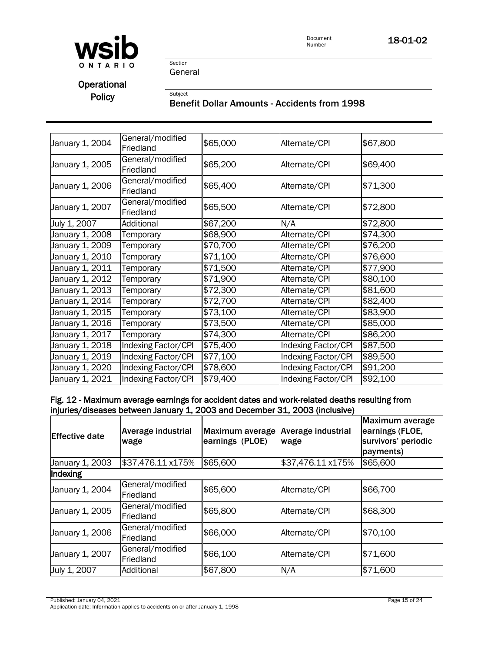

Section General

# **Operational**

# Policy<br>Benefit Dollar Amounts - Accidents from 1998

| January 1, 2004 | General/modified<br>Friedland | \$65,000 | Alternate/CPI       | \$67,800 |
|-----------------|-------------------------------|----------|---------------------|----------|
| January 1, 2005 | General/modified<br>Friedland | \$65,200 | Alternate/CPI       | \$69,400 |
| January 1, 2006 | General/modified<br>Friedland | \$65,400 | Alternate/CPI       | \$71,300 |
| January 1, 2007 | General/modified<br>Friedland | \$65,500 | Alternate/CPI       | \$72,800 |
| July 1, 2007    | Additional                    | \$67,200 | N/A                 | \$72,800 |
| January 1, 2008 | Temporary                     | \$68,900 | Alternate/CPI       | \$74,300 |
| January 1, 2009 | Temporary                     | \$70,700 | Alternate/CPI       | \$76,200 |
| January 1, 2010 | Temporary                     | \$71,100 | Alternate/CPI       | \$76,600 |
| January 1, 2011 | Temporary                     | \$71,500 | Alternate/CPI       | \$77,900 |
| January 1, 2012 | Temporary                     | \$71,900 | Alternate/CPI       | \$80,100 |
| January 1, 2013 | Temporary                     | \$72,300 | Alternate/CPI       | \$81,600 |
| January 1, 2014 | Temporary                     | \$72,700 | Alternate/CPI       | \$82,400 |
| January 1, 2015 | Temporary                     | \$73,100 | Alternate/CPI       | \$83,900 |
| January 1, 2016 | Temporary                     | \$73,500 | Alternate/CPI       | \$85,000 |
| January 1, 2017 | Temporary                     | \$74,300 | Alternate/CPI       | \$86,200 |
| January 1, 2018 | Indexing Factor/CPI           | \$75,400 | Indexing Factor/CPI | \$87,500 |
| January 1, 2019 | Indexing Factor/CPI           | \$77,100 | Indexing Factor/CPI | \$89,500 |
| January 1, 2020 | Indexing Factor/CPI           | \$78,600 | Indexing Factor/CPI | \$91,200 |
| January 1, 2021 | Indexing Factor/CPI           | \$79,400 | Indexing Factor/CPI | \$92,100 |

### Fig. 12 - Maximum average earnings for accident dates and work-related deaths resulting from injuries/diseases between January 1, 2003 and December 31, 2003 (inclusive)

| <b>Effective date</b> | <b>Average industrial</b><br>wage | Maximum average<br>earnings (PLOE) | <b>Average industrial</b><br>wage | Maximum average<br>earnings (FLOE,<br>survivors' periodic<br>payments) |
|-----------------------|-----------------------------------|------------------------------------|-----------------------------------|------------------------------------------------------------------------|
| January 1, 2003       | \$37,476.11 x175%                 | \$65,600                           | \$37,476.11 x175%                 | \$65,600                                                               |
| Indexing              |                                   |                                    |                                   |                                                                        |
| January 1, 2004       | General/modified<br>Friedland     | \$65,600                           | Alternate/CPI                     | \$66,700                                                               |
| January 1, 2005       | General/modified<br>Friedland     | \$65,800                           | Alternate/CPI                     | \$68,300                                                               |
| January 1, 2006       | General/modified<br>Friedland     | \$66,000                           | Alternate/CPI                     | \$70,100                                                               |
| January 1, 2007       | General/modified<br>Friedland     | \$66,100                           | Alternate/CPI                     | \$71,600                                                               |
| July 1, 2007          | Additional                        | \$67,800                           | N/A                               | \$71,600                                                               |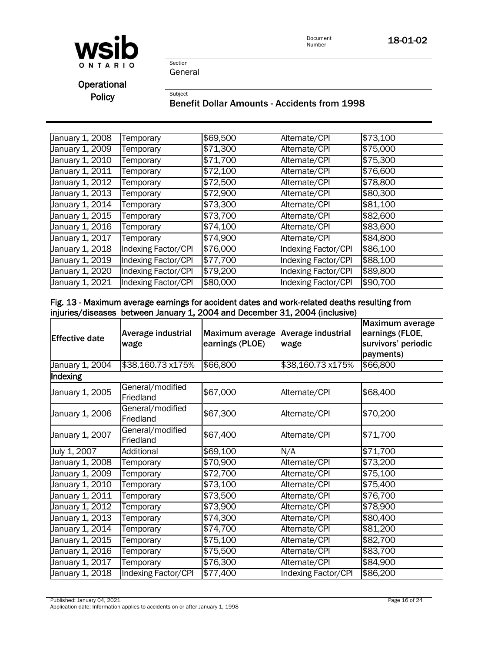



Section General

**Operational** 

# Policy<br>Benefit Dollar Amounts - Accidents from 1998

| January 1, 2008              | Temporary           | \$69,500 | Alternate/CPI       | \$73,100 |
|------------------------------|---------------------|----------|---------------------|----------|
| January 1, 2009              | Temporary           | \$71,300 | Alternate/CPI       | \$75,000 |
| January 1, 2010              | Temporary           | \$71,700 | Alternate/CPI       | \$75,300 |
| January 1, 2011              | Temporary           | \$72,100 | Alternate/CPI       | \$76,600 |
| January 1, 2012              | Temporary           | \$72,500 | Alternate/CPI       | \$78,800 |
| January 1, 2013              | Temporary           | \$72,900 | Alternate/CPI       | \$80,300 |
| January 1, 2014              | Temporary           | \$73,300 | Alternate/CPI       | \$81,100 |
| January 1, 2015              | Temporary           | \$73,700 | Alternate/CPI       | \$82,600 |
| January 1, 2016              | Temporary           | \$74,100 | Alternate/CPI       | \$83,600 |
| January 1, 2017              | Temporary           | \$74,900 | Alternate/CPI       | \$84,800 |
| January 1, 2018              | Indexing Factor/CPI | \$76,000 | Indexing Factor/CPI | \$86,100 |
| January 1, $20\overline{19}$ | Indexing Factor/CPI | \$77,700 | Indexing Factor/CPI | \$88,100 |
| January 1, 2020              | Indexing Factor/CPI | \$79,200 | Indexing Factor/CPI | \$89,800 |
| January 1, 2021              | Indexing Factor/CPI | \$80,000 | Indexing Factor/CPI | \$90,700 |

### Fig. 13 - Maximum average earnings for accident dates and work-related deaths resulting from injuries/diseases between January 1, 2004 and December 31, 2004 (inclusive)

| <b>Effective date</b> | Average industrial<br>wage    | Maximum average<br>earnings (PLOE) | Average industrial<br>wage | Maximum average<br>earnings (FLOE,<br>survivors' periodic<br>payments) |  |
|-----------------------|-------------------------------|------------------------------------|----------------------------|------------------------------------------------------------------------|--|
| January 1, 2004       | \$38,160.73 x175%             | \$66,800                           | \$38,160.73 x175%          | \$66,800                                                               |  |
| Indexing              |                               |                                    |                            |                                                                        |  |
| January 1, 2005       | General/modified<br>Friedland | \$67,000                           | Alternate/CPI              | \$68,400                                                               |  |
| January 1, 2006       | General/modified<br>Friedland | \$67,300                           | Alternate/CPI              | \$70,200                                                               |  |
| January 1, 2007       | General/modified<br>Friedland | \$67,400                           | Alternate/CPI              | \$71,700                                                               |  |
| July 1, 2007          | Additional                    | \$69,100                           | N/A                        | \$71,700                                                               |  |
| January 1, 2008       | Temporary                     | \$70,900                           | Alternate/CPI              | \$73,200                                                               |  |
| January 1, 2009       | Temporary                     | \$72,700                           | Alternate/CPI              | \$75,100                                                               |  |
| January 1, 2010       | Temporary                     | \$73,100                           | Alternate/CPI              | \$75,400                                                               |  |
| January 1, 2011       | Temporary                     | \$73,500                           | Alternate/CPI              | \$76,700                                                               |  |
| January 1, 2012       | <b>Femporary</b>              | \$73,900                           | Alternate/CPI              | \$78,900                                                               |  |
| January 1, 2013       | Temporary                     | \$74,300                           | Alternate/CPI              | \$80,400                                                               |  |
| January 1, 2014       | Temporary                     | \$74,700                           | Alternate/CPI              | \$81,200                                                               |  |
| January 1, 2015       | Temporary                     | \$75,100                           | Alternate/CPI              | \$82,700                                                               |  |
| January 1, 2016       | Temporary                     | \$75,500                           | Alternate/CPI              | \$83,700                                                               |  |
| January 1, 2017       | Temporary                     | \$76,300                           | Alternate/CPI              | \$84,900                                                               |  |
| January 1, 2018       | Indexing Factor/CPI           | \$77,400                           | Indexing Factor/CPI        | \$86,200                                                               |  |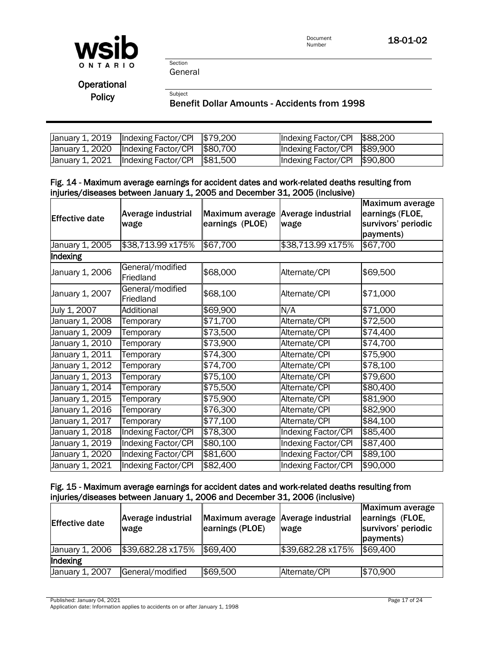

Section General

**Operational** 

# Policy<br>Benefit Dollar Amounts - Accidents from 1998

| $\vert$ January 1, 2019 $\vert$ Indexing Factor/CPI $\vert$ \$79,200 | Indexing Factor/CPI $$88,200$ |  |
|----------------------------------------------------------------------|-------------------------------|--|
| $\vert$ January 1, 2020 $\vert$ Indexing Factor/CPI $\vert$ \$80,700 | Indexing Factor/CPI $$89,900$ |  |
| $\vert$ January 1, 2021 $\vert$ Indexing Factor/CPI $\vert$ \$81,500 | Indexing Factor/CPI \$90,800  |  |

### Fig. 14 - Maximum average earnings for accident dates and work-related deaths resulting from injuries/diseases between January 1, 2005 and December 31, 2005 (inclusive)

| <b>Effective date</b> | Average industrial<br>wage    | Maximum average<br>earnings (PLOE) | Average industrial<br>wage | <b>Maximum average</b><br>earnings (FLOE,<br>survivors' periodic<br>payments) |
|-----------------------|-------------------------------|------------------------------------|----------------------------|-------------------------------------------------------------------------------|
| January 1, 2005       | \$38,713.99 x175%             | \$67,700                           | \$38,713.99 x175%          | \$67,700                                                                      |
| Indexing              |                               |                                    |                            |                                                                               |
| January 1, 2006       | General/modified<br>Friedland | \$68,000                           | Alternate/CPI              | \$69,500                                                                      |
| January 1, 2007       | General/modified<br>Friedland | \$68,100                           | Alternate/CPI              | \$71,000                                                                      |
| July 1, 2007          | Additional                    | \$69,900                           | N/A                        | \$71,000                                                                      |
| January 1, 2008       | Temporary                     | \$71,700                           | Alternate/CPI              | \$72,500                                                                      |
| January 1, 2009       | Temporary                     | \$73,500                           | Alternate/CPI              | \$74,400                                                                      |
| January 1, 2010       | Temporary                     | \$73,900                           | Alternate/CPI              | \$74,700                                                                      |
| January 1, 2011       | Temporary                     | \$74,300                           | Alternate/CPI              | \$75,900                                                                      |
| January 1, 2012       | Temporary                     | \$74,700                           | Alternate/CPI              | \$78,100                                                                      |
| January 1, 2013       | Temporary                     | \$75,100                           | Alternate/CPI              | \$79,600                                                                      |
| January 1, 2014       | Temporary                     | \$75,500                           | Alternate/CPI              | \$80,400                                                                      |
| January 1, 2015       | Temporary                     | \$75,900                           | Alternate/CPI              | \$81,900                                                                      |
| January 1, 2016       | Temporary                     | \$76,300                           | Alternate/CPI              | \$82,900                                                                      |
| January 1, 2017       | Temporary                     | \$77,100                           | Alternate/CPI              | \$84,100                                                                      |
| January 1, 2018       | Indexing Factor/CPI           | \$78,300                           | Indexing Factor/CPI        | \$85,400                                                                      |
| January 1, 2019       | Indexing Factor/CPI           | \$80,100                           | Indexing Factor/CPI        | \$87,400                                                                      |
| January 1, 2020       | <b>Indexing Factor/CPI</b>    | \$81,600                           | Indexing Factor/CPI        | \$89,100                                                                      |
| January 1, 2021       | Indexing Factor/CPI           | \$82,400                           | Indexing Factor/CPI        | \$90,000                                                                      |

### Fig. 15 - Maximum average earnings for accident dates and work-related deaths resulting from injuries/diseases between January 1, 2006 and December 31, 2006 (inclusive)

| <b>Effective date</b> | <b>Average industrial</b><br>wage | Maximum average Average industrial<br>earnings (PLOE) | wage              | Maximum average<br>earnings (FLOE,<br>survivors' periodic<br>payments) |
|-----------------------|-----------------------------------|-------------------------------------------------------|-------------------|------------------------------------------------------------------------|
| January 1, 2006       | \$39,682.28 x175%                 | \$69,400                                              | \$39,682.28 x175% | \$69,400                                                               |
| Indexing              |                                   |                                                       |                   |                                                                        |
| January 1, 2007       | General/modified                  | \$69,500                                              | Alternate/CPI     | \$70,900                                                               |

Published: January 04, 2021 Page 17 of 24

Application date: Information applies to accidents on or after January 1, 1998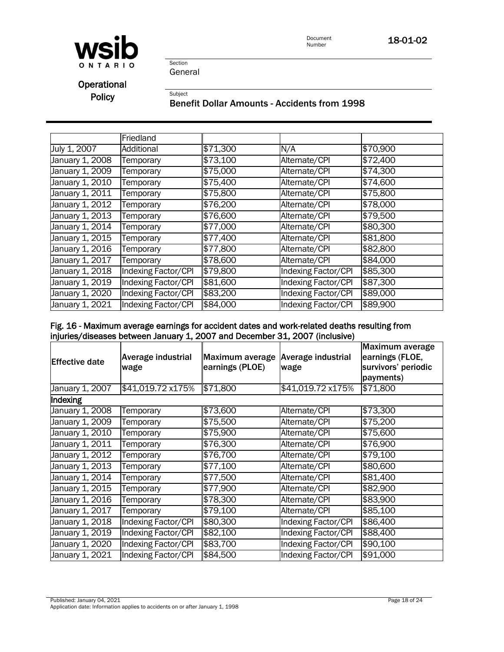



# **Operational**

# Policy<br>Benefit Dollar Amounts - Accidents from 1998

|                 | Friedland           |          |                            |          |
|-----------------|---------------------|----------|----------------------------|----------|
| July 1, 2007    | Additional          | \$71,300 | N/A                        | \$70,900 |
| January 1, 2008 | Temporary           | \$73,100 | Alternate/CPI              | \$72,400 |
| January 1, 2009 | Temporary           | \$75,000 | Alternate/CPI              | \$74,300 |
| January 1, 2010 | Temporary           | \$75,400 | Alternate/CPI              | \$74,600 |
| January 1, 2011 | Temporary           | \$75,800 | Alternate/CPI              | \$75,800 |
| January 1, 2012 | Temporary           | \$76,200 | Alternate/CPI              | \$78,000 |
| January 1, 2013 | Temporary           | \$76,600 | Alternate/CPI              | \$79,500 |
| January 1, 2014 | Temporary           | \$77,000 | Alternate/CPI              | \$80,300 |
| January 1, 2015 | Temporary           | \$77,400 | Alternate/CPI              | \$81,800 |
| January 1, 2016 | Temporary           | \$77,800 | Alternate/CPI              | \$82,800 |
| January 1, 2017 | Temporary           | \$78,600 | Alternate/CPI              | \$84,000 |
| January 1, 2018 | Indexing Factor/CPI | \$79,800 | <b>Indexing Factor/CPI</b> | \$85,300 |
| January 1, 2019 | Indexing Factor/CPI | \$81,600 | Indexing Factor/CPI        | \$87,300 |
| January 1, 2020 | Indexing Factor/CPI | \$83,200 | Indexing Factor/CPI        | \$89,000 |
| January 1, 2021 | Indexing Factor/CPI | \$84,000 | Indexing Factor/CPI        | \$89,900 |

### Fig. 16 - Maximum average earnings for accident dates and work-related deaths resulting from injuries/diseases between January 1, 2007 and December 31, 2007 (inclusive)

| <b>Effective date</b> | Average industrial<br>wage | Maximum average<br>earnings (PLOE) | <b>Average industrial</b><br>wage | Maximum average<br>earnings (FLOE,<br>survivors' periodic<br>payments) |
|-----------------------|----------------------------|------------------------------------|-----------------------------------|------------------------------------------------------------------------|
| January 1, 2007       | \$41,019.72 x175%          | \$71,800                           | \$41,019.72 x175%                 | \$71,800                                                               |
| Indexing              |                            |                                    |                                   |                                                                        |
| January 1, 2008       | Temporary                  | \$73,600                           | Alternate/CPI                     | \$73,300                                                               |
| January 1, 2009       | Temporary                  | \$75,500                           | Alternate/CPI                     | \$75,200                                                               |
| January 1, 2010       | Temporary                  | \$75,900                           | Alternate/CPI                     | \$75,600                                                               |
| January 1, 2011       | Temporary                  | \$76,300                           | Alternate/CPI                     | \$76,900                                                               |
| January 1, 2012       | Temporary                  | \$76,700                           | Alternate/CPI                     | \$79,100                                                               |
| January 1, 2013       | Temporary                  | \$77,100                           | Alternate/CPI                     | \$80,600                                                               |
| January 1, 2014       | Temporary                  | \$77,500                           | Alternate/CPI                     | \$81,400                                                               |
| January 1, 2015       | Temporary                  | \$77,900                           | Alternate/CPI                     | \$82,900                                                               |
| January 1, 2016       | Temporary                  | \$78,300                           | Alternate/CPI                     | \$83,900                                                               |
| January 1, 2017       | Temporary                  | \$79,100                           | Alternate/CPI                     | \$85,100                                                               |
| January 1, 2018       | Indexing Factor/CPI        | \$80,300                           | Indexing Factor/CPI               | \$86,400                                                               |
| January 1, 2019       | Indexing Factor/CPI        | \$82,100                           | Indexing Factor/CPI               | \$88,400                                                               |
| January 1, 2020       | Indexing Factor/CPI        | \$83,700                           | <b>Indexing Factor/CPI</b>        | \$90,100                                                               |
| January 1, 2021       | Indexing Factor/CPI        | \$84,500                           | Indexing Factor/CPI               | \$91,000                                                               |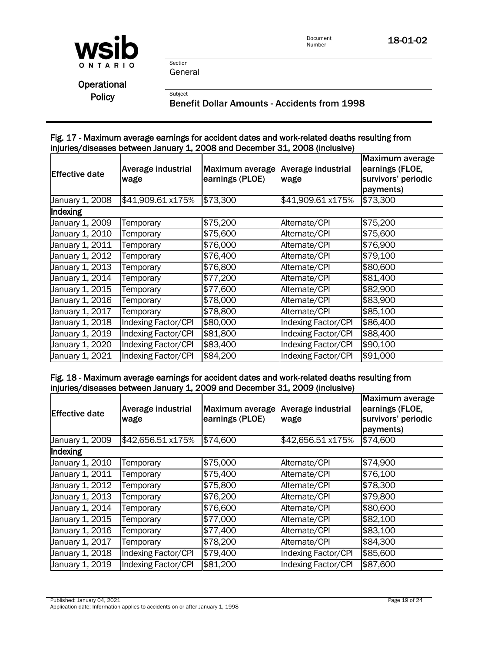

**Operational** 

Policy<br>Benefit Dollar Amounts - Accidents from 1998

### Fig. 17 - Maximum average earnings for accident dates and work-related deaths resulting from injuries/diseases between January 1, 2008 and December 31, 2008 (inclusive)

| <b>Effective date</b> | <b>Average industrial</b><br>wage | Maximum average<br>earnings (PLOE) | Average industrial<br>wage | Maximum average<br>earnings (FLOE,<br>survivors' periodic<br>payments) |
|-----------------------|-----------------------------------|------------------------------------|----------------------------|------------------------------------------------------------------------|
| January 1, 2008       | \$41,909.61 x175%                 | \$73,300                           | \$41,909.61 x175%          | \$73,300                                                               |
| Indexing              |                                   |                                    |                            |                                                                        |
| January 1, 2009       | Temporary                         | \$75,200                           | Alternate/CPI              | \$75,200                                                               |
| January 1, 2010       | Temporary                         | \$75,600                           | Alternate/CPI              | \$75,600                                                               |
| January 1, 2011       | Temporary                         | \$76,000                           | Alternate/CPI              | \$76,900                                                               |
| January 1, 2012       | Temporary                         | \$76,400                           | Alternate/CPI              | \$79,100                                                               |
| January 1, 2013       | Temporary                         | \$76,800                           | Alternate/CPI              | \$80,600                                                               |
| January 1, 2014       | Temporary                         | \$77,200                           | Alternate/CPI              | \$81,400                                                               |
| January 1, 2015       | Temporary                         | \$77,600                           | Alternate/CPI              | \$82,900                                                               |
| January 1, 2016       | Temporary                         | \$78,000                           | Alternate/CPI              | \$83,900                                                               |
| January 1, 2017       | Temporary                         | \$78,800                           | Alternate/CPI              | \$85,100                                                               |
| January 1, 2018       | Indexing Factor/CPI               | \$80,000                           | Indexing Factor/CPI        | \$86,400                                                               |
| January 1, 2019       | Indexing Factor/CPI               | \$81,800                           | Indexing Factor/CPI        | \$88,400                                                               |
| January 1, 2020       | <b>Indexing Factor/CPI</b>        | \$83,400                           | <b>Indexing Factor/CPI</b> | \$90,100                                                               |
| January 1, 2021       | Indexing Factor/CPI               | \$84,200                           | Indexing Factor/CPI        | \$91,000                                                               |

### Fig. 18 - Maximum average earnings for accident dates and work-related deaths resulting from injuries/diseases between January 1, 2009 and December 31, 2009 (inclusive)

| <b>Effective date</b> | Average industrial<br>wage | Maximum average<br>earnings (PLOE) | <b>Average industrial</b><br>wage | Maximum average<br>earnings (FLOE,<br>survivors' periodic<br>payments) |
|-----------------------|----------------------------|------------------------------------|-----------------------------------|------------------------------------------------------------------------|
| January 1, 2009       | \$42,656.51 x175%          | \$74,600                           | \$42,656.51 x175%                 | \$74,600                                                               |
| Indexing              |                            |                                    |                                   |                                                                        |
| January 1, 2010       | Temporary                  | \$75,000                           | Alternate/CPI                     | \$74,900                                                               |
| January 1, 2011       | Temporary                  | \$75,400                           | Alternate/CPI                     | \$76,100                                                               |
| January 1, 2012       | Temporary                  | \$75,800                           | Alternate/CPI                     | \$78,300                                                               |
| January 1, 2013       | Temporary                  | \$76,200                           | Alternate/CPI                     | \$79,800                                                               |
| January 1, 2014       | Temporary                  | \$76,600                           | Alternate/CPI                     | \$80,600                                                               |
| January 1, 2015       | Temporary                  | \$77,000                           | Alternate/CPI                     | \$82,100                                                               |
| January 1, 2016       | Temporary                  | \$77,400                           | Alternate/CPI                     | \$83,100                                                               |
| January 1, 2017       | Temporary                  | \$78,200                           | Alternate/CPI                     | \$84,300                                                               |
| January 1, 2018       | Indexing Factor/CPI        | \$79,400                           | Indexing Factor/CPI               | \$85,600                                                               |
| January 1, 2019       | Indexing Factor/CPI        | \$81,200                           | Indexing Factor/CPI               | \$87,600                                                               |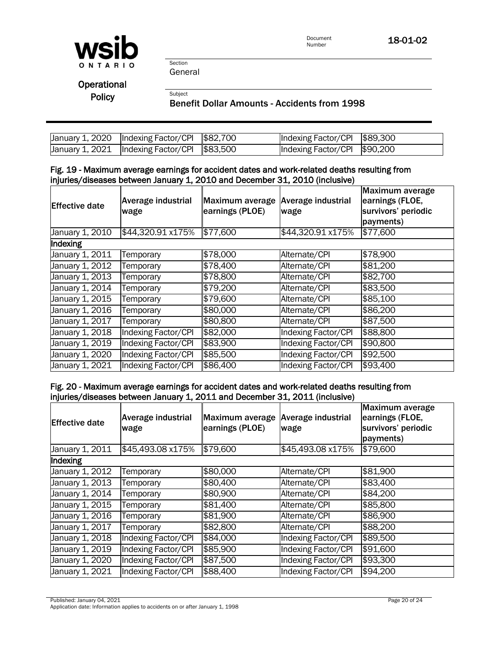

Section General

**Operational** 

# Policy<br>Benefit Dollar Amounts - Accidents from 1998

| January 1, 2020   Indexing Factor/CPI   \$82,700                     | Indexing Factor/CPI 589,300  |  |
|----------------------------------------------------------------------|------------------------------|--|
| $\vert$ January 1, 2021 $\vert$ Indexing Factor/CPI $\vert$ \$83,500 | Indexing Factor/CPI \$90,200 |  |

### Fig. 19 - Maximum average earnings for accident dates and work-related deaths resulting from injuries/diseases between January 1, 2010 and December 31, 2010 (inclusive)

| <b>Effective date</b>         | <b>Average industrial</b><br>wage | Maximum average<br>earnings (PLOE) | <b>Average industrial</b><br>wage | Maximum average<br>earnings (FLOE,<br>survivors' periodic<br>payments) |
|-------------------------------|-----------------------------------|------------------------------------|-----------------------------------|------------------------------------------------------------------------|
| January 1, 2010               | \$44,320.91 x175%                 | \$77,600                           | \$44,320.91 x175%                 | \$77,600                                                               |
| Indexing                      |                                   |                                    |                                   |                                                                        |
| January 1, 2011               | Temporary                         | \$78,000                           | Alternate/CPI                     | \$78,900                                                               |
| January 1, 2012               | Temporary                         | \$78,400                           | Alternate/CPI                     | \$81,200                                                               |
| January 1, 20 $1\overline{3}$ | Temporary                         | \$78,800                           | Alternate/CPI                     | \$82,700                                                               |
| January 1, 2014               | Temporary                         | \$79,200                           | Alternate/CPI                     | \$83,500                                                               |
| January 1, 2015               | Temporary                         | \$79,600                           | Alternate/CPI                     | \$85,100                                                               |
| January 1, 2016               | Temporary                         | \$80,000                           | Alternate/CPI                     | \$86,200                                                               |
| January 1, 2017               | Temporary                         | \$80,800                           | Alternate/CPI                     | \$87,500                                                               |
| January 1, 2018               | Indexing Factor/CPI               | \$82,000                           | Indexing Factor/CPI               | \$88,800                                                               |
| January 1, 2019               | Indexing Factor/CPI               | \$83,900                           | <b>Indexing Factor/CPI</b>        | \$90,800                                                               |
| January 1, 2020               | Indexing Factor/CPI               | \$85,500                           | Indexing Factor/CPI               | \$92,500                                                               |
| January 1, 2021               | Indexing Factor/CPI               | \$86,400                           | Indexing Factor/CPI               | \$93,400                                                               |

### Fig. 20 - Maximum average earnings for accident dates and work-related deaths resulting from injuries/diseases between January 1, 2011 and December 31, 2011 (inclusive)

| <b>Effective date</b>        | <b>Average industrial</b><br>wage | <b>Maximum average</b><br>earnings (PLOE) | Average industrial<br>wage | Maximum average<br>earnings (FLOE,<br>survivors' periodic<br>payments) |
|------------------------------|-----------------------------------|-------------------------------------------|----------------------------|------------------------------------------------------------------------|
| January 1, 2011              | \$45,493.08 x175%                 | \$79,600                                  | \$45,493.08 x175%          | \$79,600                                                               |
| Indexing                     |                                   |                                           |                            |                                                                        |
| January 1, $20\overline{12}$ | Temporary                         | \$80,000                                  | Alternate/CPI              | \$81,900                                                               |
| January 1, 2013              | Temporary                         | \$80,400                                  | Alternate/CPI              | \$83,400                                                               |
| January 1, 2014              | Temporary                         | \$80,900                                  | Alternate/CPI              | \$84,200                                                               |
| January 1, 2015              | Temporary                         | \$81,400                                  | Alternate/CPI              | \$85,800                                                               |
| January 1, 2016              | Temporary                         | \$81,900                                  | Alternate/CPI              | \$86,900                                                               |
| January 1, 2017              | Temporary                         | \$82,800                                  | Alternate/CPI              | \$88,200                                                               |
| January 1, 2018              | Indexing Factor/CPI               | \$84,000                                  | Indexing Factor/CPI        | \$89,500                                                               |
| January 1, 2019              | Indexing Factor/CPI               | \$85,900                                  | Indexing Factor/CPI        | \$91,600                                                               |
| January 1, 2020              | Indexing Factor/CPI               | \$87,500                                  | Indexing Factor/CPI        | \$93,300                                                               |
| January 1, 2021              | Indexing Factor/CPI               | \$88,400                                  | Indexing Factor/CPI        | \$94,200                                                               |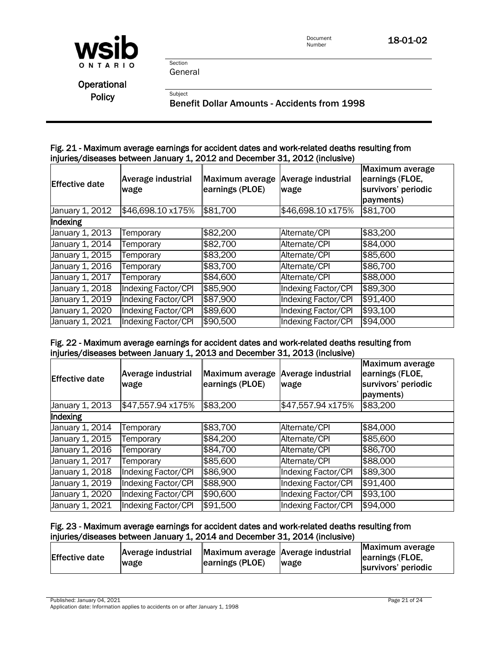

**Operational** 

Policy<br>Benefit Dollar Amounts - Accidents from 1998

#### Fig. 21 - Maximum average earnings for accident dates and work-related deaths resulting from injuries/diseases between January 1, 2012 and December 31, 2012 (inclusive)

| <b>Effective date</b> | Average industrial<br>wage | Maximum average<br>earnings (PLOE) | <b>Average industrial</b><br>wage | Maximum average<br>earnings (FLOE,<br>survivors' periodic<br>payments) |
|-----------------------|----------------------------|------------------------------------|-----------------------------------|------------------------------------------------------------------------|
| January 1, 2012       | \$46,698.10 x175%          | \$81,700                           | \$46,698.10 x175%                 | \$81,700                                                               |
| Indexing              |                            |                                    |                                   |                                                                        |
| January 1, 2013       | Temporary                  | \$82,200                           | Alternate/CPI                     | \$83,200                                                               |
| January 1, 2014       | Temporary                  | \$82,700                           | Alternate/CPI                     | \$84,000                                                               |
| January 1, 2015       | Temporary                  | \$83,200                           | Alternate/CPI                     | \$85,600                                                               |
| January 1, 2016       | Temporary                  | \$83,700                           | Alternate/CPI                     | \$86,700                                                               |
| January 1, 2017       | Temporary                  | \$84,600                           | Alternate/CPI                     | \$88,000                                                               |
| January 1, 2018       | Indexing Factor/CPI        | \$85,900                           | Indexing Factor/CPI               | \$89,300                                                               |
| January 1, 2019       | Indexing Factor/CPI        | \$87,900                           | Indexing Factor/CPI               | \$91,400                                                               |
| January 1, 2020       | <b>Indexing Factor/CPI</b> | \$89,600                           | Indexing Factor/CPI               | \$93,100                                                               |
| January 1, 2021       | Indexing Factor/CPI        | \$90,500                           | Indexing Factor/CPI               | \$94,000                                                               |

#### Fig. 22 - Maximum average earnings for accident dates and work-related deaths resulting from injuries/diseases between January 1, 2013 and December 31, 2013 (inclusive)

| <b>Effective date</b>         | <b>Average industrial</b><br>wage | Maximum average<br>earnings (PLOE) | Average industrial<br>wage | Maximum average<br>earnings (FLOE,<br>survivors' periodic<br>payments) |
|-------------------------------|-----------------------------------|------------------------------------|----------------------------|------------------------------------------------------------------------|
| January 1, 2013               | \$47,557.94 x175%                 | \$83,200                           | \$47,557.94 x175%          | \$83,200                                                               |
| Indexing                      |                                   |                                    |                            |                                                                        |
| January 1, 20 $\overline{14}$ | Temporary                         | \$83,700                           | Alternate/CPI              | \$84,000                                                               |
| January 1, 20 $1/5$           | Temporary                         | \$84,200                           | Alternate/CPI              | \$85,600                                                               |
| January 1, 2016               | Temporary                         | \$84,700                           | Alternate/CPI              | \$86,700                                                               |
| January 1, 2017               | Temporary                         | \$85,600                           | Alternate/CPI              | \$88,000                                                               |
| January 1, 2018               | Indexing Factor/CPI               | \$86,900                           | Indexing Factor/CPI        | \$89,300                                                               |
| January 1, 2019               | <b>Indexing Factor/CPI</b>        | \$88,900                           | <b>Indexing Factor/CPI</b> | \$91,400                                                               |
| January 1, 2020               | Indexing Factor/CPI               | \$90,600                           | Indexing Factor/CPI        | \$93,100                                                               |
| January 1, 2021               | Indexing Factor/CPI               | \$91,500                           | Indexing Factor/CPI        | \$94,000                                                               |

### Fig. 23 - Maximum average earnings for accident dates and work-related deaths resulting from injuries/diseases between January 1, 2014 and December 31, 2014 (inclusive)

Published: January 04, 2021 **Page 21 of 24** Application date: Information applies to accidents on or after January 1, 1998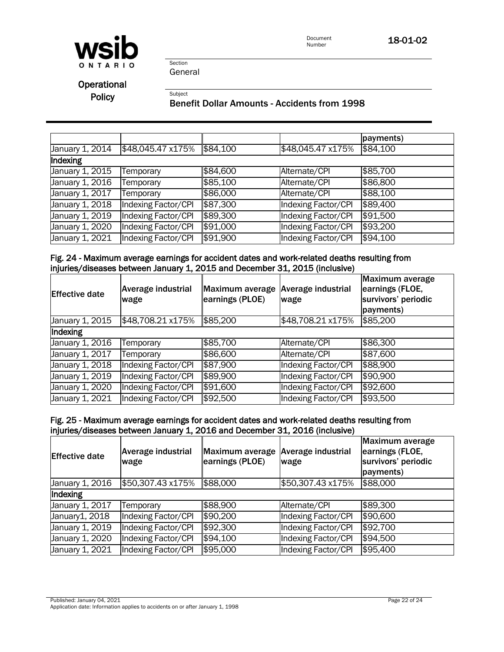

**Operational** 

Policy<br>Benefit Dollar Amounts - Accidents from 1998

|                 |                     |          |                            | payments) |
|-----------------|---------------------|----------|----------------------------|-----------|
| January 1, 2014 | \$48,045.47 x175%   | \$84,100 | \$48,045.47 x175%          | \$84,100  |
| Indexing        |                     |          |                            |           |
| January 1, 2015 | Temporary           | \$84,600 | Alternate/CPI              | \$85,700  |
| January 1, 2016 | Temporary           | \$85,100 | Alternate/CPI              | \$86,800  |
| January 1, 2017 | Temporary           | \$86,000 | Alternate/CPI              | \$88,100  |
| January 1, 2018 | Indexing Factor/CPI | \$87,300 | Indexing Factor/CPI        | \$89,400  |
| January 1, 2019 | Indexing Factor/CPI | \$89,300 | Indexing Factor/CPI        | \$91,500  |
| January 1, 2020 | Indexing Factor/CPI | \$91,000 | <b>Indexing Factor/CPI</b> | \$93,200  |
| January 1, 2021 | Indexing Factor/CPI | \$91,900 | Indexing Factor/CPI        | \$94,100  |

#### Fig. 24 - Maximum average earnings for accident dates and work-related deaths resulting from injuries/diseases between January 1, 2015 and December 31, 2015 (inclusive)

| <b>Effective date</b> | <b>Average industrial</b><br>wage | Maximum average<br>earnings (PLOE) | <b>Average industrial</b><br>wage | <b>Maximum average</b><br>earnings (FLOE,<br>survivors' periodic<br>payments) |  |
|-----------------------|-----------------------------------|------------------------------------|-----------------------------------|-------------------------------------------------------------------------------|--|
| January 1, 2015       | \$48,708.21 x175%                 | \$85,200                           | \$48,708.21 x175%                 | \$85,200                                                                      |  |
| Indexing              |                                   |                                    |                                   |                                                                               |  |
| January 1, 2016       | Temporary                         | \$85,700                           | Alternate/CPI                     | \$86,300                                                                      |  |
| January 1, 2017       | Temporary                         | \$86,600                           | Alternate/CPI                     | \$87,600                                                                      |  |
| January 1, 2018       | Indexing Factor/CPI               | \$87,900                           | <b>Indexing Factor/CPI</b>        | \$88,900                                                                      |  |
| January 1, 2019       | Indexing Factor/CPI               | \$89,900                           | Indexing Factor/CPI               | \$90,900                                                                      |  |
| January 1, 2020       | Indexing Factor/CPI               | \$91,600                           | Indexing Factor/CPI               | \$92,600                                                                      |  |
| January 1, 2021       | Indexing Factor/CPI               | \$92,500                           | Indexing Factor/CPI               | \$93,500                                                                      |  |

#### Fig. 25 - Maximum average earnings for accident dates and work-related deaths resulting from injuries/diseases between January 1, 2016 and December 31, 2016 (inclusive)

| <b>Effective date</b>        | <b>Average industrial</b><br>wage | Maximum average<br>earnings (PLOE) | Average industrial<br>wage | Maximum average<br>earnings (FLOE,<br>survivors' periodic<br>payments) |
|------------------------------|-----------------------------------|------------------------------------|----------------------------|------------------------------------------------------------------------|
| January 1, 2016              | \$50,307.43 x175%                 | \$88,000                           | \$50,307.43 x175%          | \$88,000                                                               |
| Indexing                     |                                   |                                    |                            |                                                                        |
| January 1, $20\overline{17}$ | Temporary                         | \$88,900                           | Alternate/CPI              | \$89,300                                                               |
| January1, 2018               | Indexing Factor/CPI               | \$90,200                           | <b>Indexing Factor/CPI</b> | \$90,600                                                               |
| January 1, 2019              | Indexing Factor/CPI               | \$92,300                           | Indexing Factor/CPI        | \$92,700                                                               |
| January 1, 2020              | Indexing Factor/CPI               | \$94,100                           | Indexing Factor/CPI        | \$94,500                                                               |
| January 1, 2021              | Indexing Factor/CPI               | \$95,000                           | Indexing Factor/CPI        | \$95,400                                                               |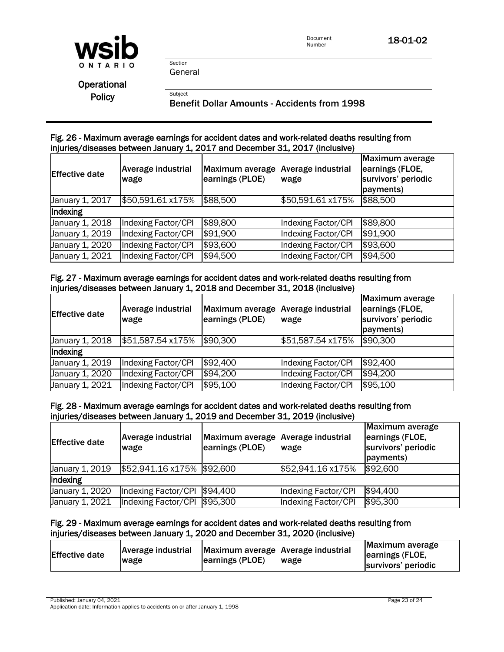

General

Section

**Operational** 

Policy<br>Benefit Dollar Amounts - Accidents from 1998

### Fig. 26 - Maximum average earnings for accident dates and work-related deaths resulting from injuries/diseases between January 1, 2017 and December 31, 2017 (inclusive)

| <b>Effective date</b> | <b>Average industrial</b><br>wage | Maximum average<br>earnings (PLOE) | <b>Average industrial</b><br>wage | <b>Maximum average</b><br>earnings (FLOE,<br>survivors' periodic<br>payments) |
|-----------------------|-----------------------------------|------------------------------------|-----------------------------------|-------------------------------------------------------------------------------|
| January 1, 2017       | \$50,591.61 x175%                 | \$88,500                           | \$50,591.61 x175%                 | \$88,500                                                                      |
| Indexing              |                                   |                                    |                                   |                                                                               |
| January 1, 2018       | Indexing Factor/CPI               | \$89,800                           | Indexing Factor/CPI               | \$89,800                                                                      |
| January 1, 2019       | Indexing Factor/CPI               | \$91,900                           | Indexing Factor/CPI               | \$91,900                                                                      |
| January 1, 2020       | Indexing Factor/CPI               | \$93,600                           | Indexing Factor/CPI               | \$93,600                                                                      |
| January 1, 2021       | Indexing Factor/CPI               | \$94,500                           | Indexing Factor/CPI               | \$94,500                                                                      |

### Fig. 27 - Maximum average earnings for accident dates and work-related deaths resulting from injuries/diseases between January 1, 2018 and December 31, 2018 (inclusive)

| <b>Effective date</b> | Average industrial<br>wage | Maximum average Average industrial<br>earnings (PLOE) | wage                | Maximum average<br>earnings (FLOE,<br>survivors' periodic<br>payments) |
|-----------------------|----------------------------|-------------------------------------------------------|---------------------|------------------------------------------------------------------------|
| January 1, 2018       | \$51,587.54 x175%          | \$90,300                                              | \$51,587.54 x175%   | \$90,300                                                               |
| Indexing              |                            |                                                       |                     |                                                                        |
| January 1, 2019       | Indexing Factor/CPI        | \$92,400                                              | Indexing Factor/CPI | \$92,400                                                               |
| January 1, 2020       | Indexing Factor/CPI        | \$94,200                                              | Indexing Factor/CPI | \$94,200                                                               |
| January 1, 2021       | Indexing Factor/CPI        | \$95,100                                              | Indexing Factor/CPI | \$95,100                                                               |

### Fig. 28 - Maximum average earnings for accident dates and work-related deaths resulting from injuries/diseases between January 1, 2019 and December 31, 2019 (inclusive)

| <b>Effective date</b> | <b>Average industrial</b><br>wage | Maximum average Average industrial<br>earnings (PLOE) | wage                | Maximum average<br>earnings (FLOE,<br>survivors' periodic<br>payments) |
|-----------------------|-----------------------------------|-------------------------------------------------------|---------------------|------------------------------------------------------------------------|
| January 1, 2019       | \$52,941.16 x175% \$92,600        |                                                       | \$52,941.16 x175%   | \$92,600                                                               |
| Indexing              |                                   |                                                       |                     |                                                                        |
| January 1, 2020       | Indexing Factor/CPI               | \$94,400                                              | Indexing Factor/CPI | \$94,400                                                               |
| January 1, 2021       | Indexing Factor/CPI \$95,300      |                                                       | Indexing Factor/CPI | \$95,300                                                               |

### Fig. 29 - Maximum average earnings for accident dates and work-related deaths resulting from injuries/diseases between January 1, 2020 and December 31, 2020 (inclusive)

| <b>Effective date</b><br>wage | Average industrial | Maximum average Average industrial<br>earnings (PLOE) | <b>wage</b> | Maximum average<br>earnings (FLOE,<br>survivors' periodic |
|-------------------------------|--------------------|-------------------------------------------------------|-------------|-----------------------------------------------------------|
|-------------------------------|--------------------|-------------------------------------------------------|-------------|-----------------------------------------------------------|

Published: January 04, 2021 Page 23 of 24 Application date: Information applies to accidents on or after January 1, 1998